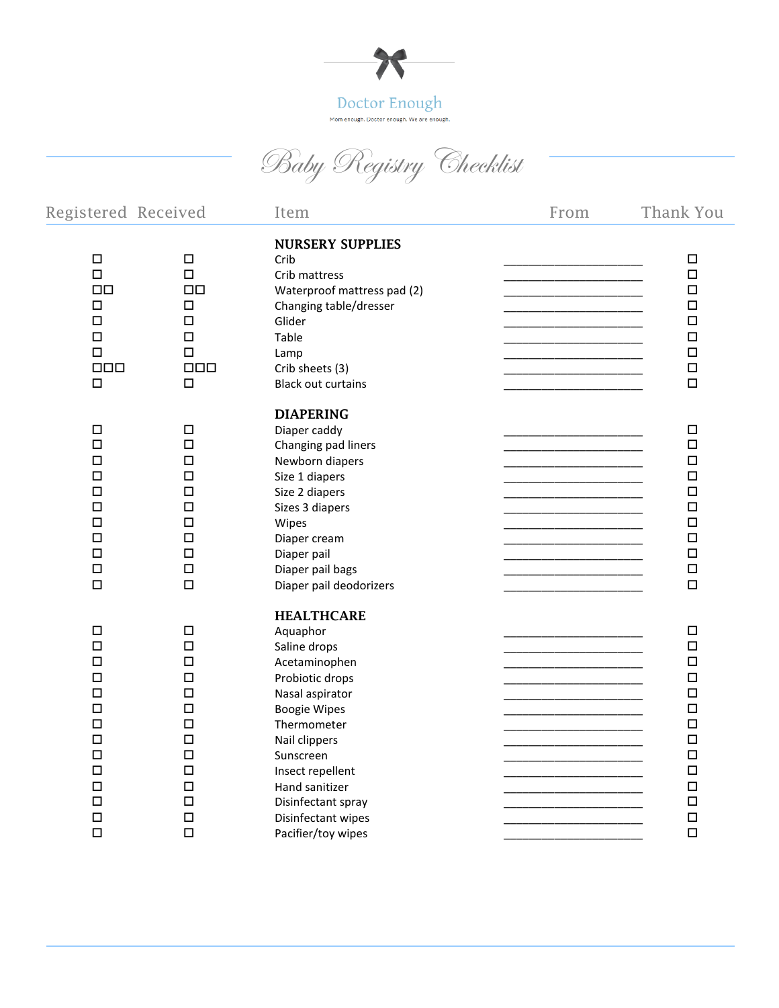

Baby Registry Checklist

| Registered Received                                                                                                                      |                                                                                                                                     | Item                                                                                                                                                                                                                                                                             | From | Thank You                                                                                                                                |
|------------------------------------------------------------------------------------------------------------------------------------------|-------------------------------------------------------------------------------------------------------------------------------------|----------------------------------------------------------------------------------------------------------------------------------------------------------------------------------------------------------------------------------------------------------------------------------|------|------------------------------------------------------------------------------------------------------------------------------------------|
| $\Box$<br>$\Box$<br>$\Box$<br>$\Box$<br>$\Box$<br>$\Box$<br>$\Box$<br>$\Box \Box \Box$<br>$\Box$                                         | $\Box$<br>$\Box$<br>$\Box$ Box<br>$\Box$<br>$\Box$<br>$\Box$<br>$\Box$<br>$\Box \Box \Box$<br>$\Box$                                | <b>NURSERY SUPPLIES</b><br>Crib<br>Crib mattress<br>Waterproof mattress pad (2)<br>Changing table/dresser<br>Glider<br>Table<br>Lamp<br>Crib sheets (3)<br><b>Black out curtains</b>                                                                                             |      | $\Box$<br>$\Box$<br>$\Box$<br>$\Box$<br>$\Box$<br>$\Box$<br>$\Box$<br>$\Box$<br>$\Box$                                                   |
| $\Box$<br>$\Box$<br>$\Box$<br>$\Box$<br>$\Box$<br>$\Box$<br>$\Box$<br>□<br>$\Box$<br>$\Box$<br>$\Box$                                    | $\Box$<br>$\Box$<br>□<br>$\Box$<br>$\Box$<br>$\Box$<br>$\Box$<br>□<br>$\Box$<br>$\Box$<br>$\Box$                                    | <b>DIAPERING</b><br>Diaper caddy<br>Changing pad liners<br>Newborn diapers<br>Size 1 diapers<br>Size 2 diapers<br>Sizes 3 diapers<br>Wipes<br>Diaper cream<br>Diaper pail<br>Diaper pail bags<br>Diaper pail deodorizers                                                         |      | $\Box$<br>$\Box$<br>$\Box$<br>$\Box$<br>$\Box$<br>$\Box$<br>$\Box$<br>$\Box$<br>$\Box$<br>$\Box$<br>$\Box$                               |
| $\Box$<br>$\Box$<br>$\Box$<br>$\Box$<br>$\Box$<br>$\Box$<br>$\Box$<br>$\Box$<br>$\Box$<br>$\Box$<br>$\Box$<br>$\Box$<br>$\Box$<br>$\Box$ | $\Box$<br>$\Box$<br>$\Box$<br>$\Box$<br>$\Box$<br>$\Box$<br>□<br>$\Box$<br>$\Box$<br>$\Box$<br>$\Box$<br>$\Box$<br>$\Box$<br>$\Box$ | <b>HEALTHCARE</b><br>Aquaphor<br>Saline drops<br>Acetaminophen<br>Probiotic drops<br>Nasal aspirator<br><b>Boogie Wipes</b><br>Thermometer<br>Nail clippers<br>Sunscreen<br>Insect repellent<br>Hand sanitizer<br>Disinfectant spray<br>Disinfectant wipes<br>Pacifier/toy wipes |      | $\Box$<br>$\Box$<br>$\Box$<br>$\Box$<br>$\Box$<br>$\Box$<br>$\Box$<br>$\Box$<br>$\Box$<br>$\Box$<br>$\Box$<br>$\Box$<br>$\Box$<br>$\Box$ |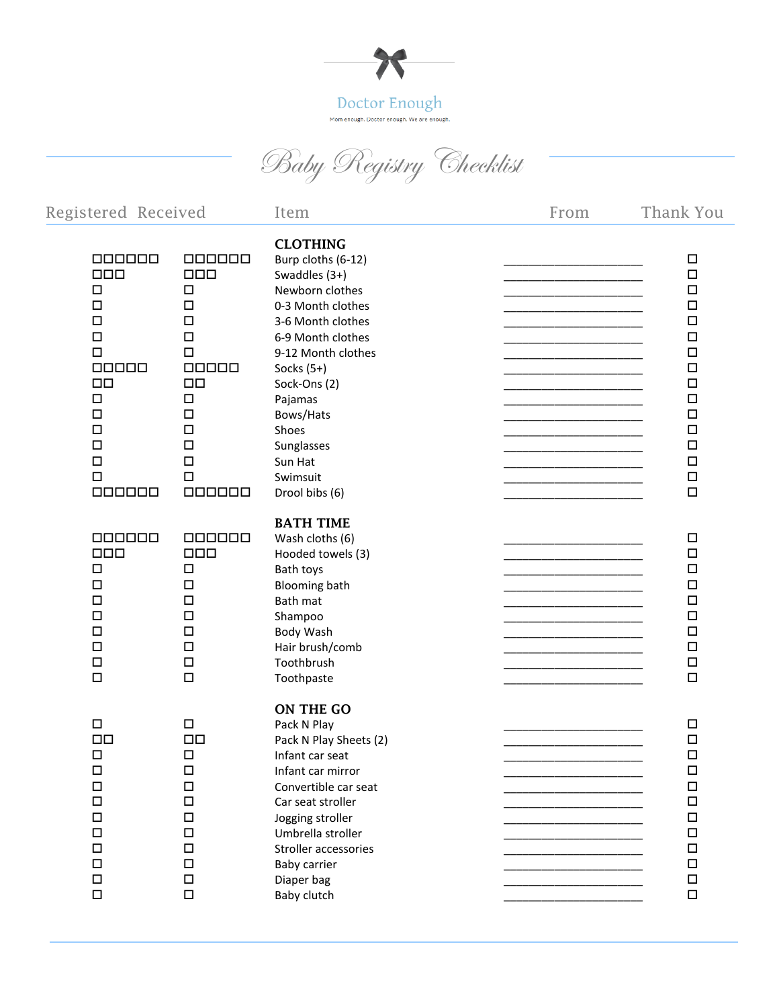

Baby Registry Checklist

| Registered Received                                                                                                                                                       |                                                                                                                                                                  | Item                                                                                                                                                                                                                                                                                   | From | Thank You                                                                                                                                                    |
|---------------------------------------------------------------------------------------------------------------------------------------------------------------------------|------------------------------------------------------------------------------------------------------------------------------------------------------------------|----------------------------------------------------------------------------------------------------------------------------------------------------------------------------------------------------------------------------------------------------------------------------------------|------|--------------------------------------------------------------------------------------------------------------------------------------------------------------|
| 000000<br>$\Box \Box \Box$<br>$\Box$<br>$\Box$<br>$\Box$<br>$\Box$<br>$\Box$<br>00000<br>$\Box$ Box<br>$\Box$<br>$\Box$<br>$\Box$<br>$\Box$<br>$\Box$<br>$\Box$<br>000000 | 000000<br>$\Box$<br>$\Box$<br>$\Box$<br>$\Box$<br>$\Box$<br>$\Box$<br>$\Box$<br>$\Box$ Box<br>$\Box$<br>$\Box$<br>$\Box$<br>$\Box$<br>$\Box$<br>$\Box$<br>000000 | <b>CLOTHING</b><br>Burp cloths (6-12)<br>Swaddles (3+)<br>Newborn clothes<br>0-3 Month clothes<br>3-6 Month clothes<br>6-9 Month clothes<br>9-12 Month clothes<br>Socks $(5+)$<br>Sock-Ons (2)<br>Pajamas<br>Bows/Hats<br>Shoes<br>Sunglasses<br>Sun Hat<br>Swimsuit<br>Drool bibs (6) |      | $\Box$<br>$\Box$<br>$\Box$<br>$\Box$<br>$\Box$<br>$\Box$<br>$\Box$<br>$\Box$<br>$\Box$<br>$\Box$<br>$\Box$<br>$\Box$<br>$\Box$<br>$\Box$<br>$\Box$<br>$\Box$ |
| 000000<br>$\Box \Box \Box$<br>$\Box$<br>$\Box$<br>$\Box$<br>$\Box$<br>$\Box$<br>$\Box$<br>$\Box$<br>$\Box$                                                                | 000000<br>$\Box \Box \Box$<br>$\Box$<br>$\Box$<br>$\Box$<br>$\Box$<br>$\Box$<br>$\Box$<br>$\Box$<br>$\Box$                                                       | <b>BATH TIME</b><br>Wash cloths (6)<br>Hooded towels (3)<br>Bath toys<br><b>Blooming bath</b><br>Bath mat<br>Shampoo<br>Body Wash<br>Hair brush/comb<br>Toothbrush<br>Toothpaste                                                                                                       |      | □<br>$\Box$<br>$\Box$<br>$\Box$<br>$\Box$<br>$\Box$<br>$\Box$<br>$\Box$<br>$\Box$<br>$\Box$                                                                  |
| $\Box$<br>$\square$<br>$\Box$<br>$\Box$<br>$\Box$<br>$\Box$<br>$\Box$<br>$\Box$<br>$\Box$<br>$\Box$<br>$\Box$<br>$\Box$                                                   | $\Box$<br>$\Box\Box$<br>$\Box$<br>$\Box$<br>$\Box$<br>$\Box$<br>$\Box$<br>$\Box$<br>$\Box$<br>$\Box$<br>$\Box$<br>$\Box$                                         | ON THE GO<br>Pack N Play<br>Pack N Play Sheets (2)<br>Infant car seat<br>Infant car mirror<br>Convertible car seat<br>Car seat stroller<br>Jogging stroller<br>Umbrella stroller<br>Stroller accessories<br>Baby carrier<br>Diaper bag<br>Baby clutch                                  |      | $\Box$<br>$\Box$<br>$\Box$<br>$\Box$<br>$\Box$<br>$\Box$<br>$\Box$<br>$\Box$<br>$\Box$<br>$\Box$<br>$\Box$<br>$\Box$                                         |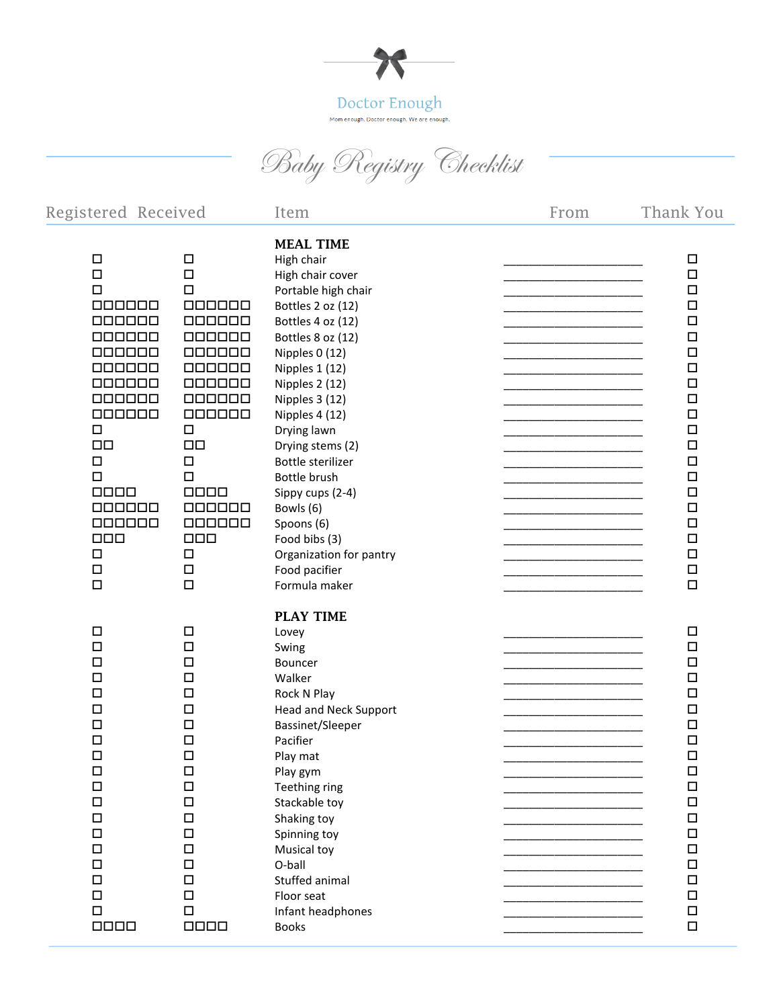

Baby Registry Checklist

| Registered Received                                                                                                                                                                                                                                  |                                                                                                                                                                                                                                          | Item                                                                                                                                                                                                                                                                                                                                                                                                                                    | From | Thank You                                                                                                                                                                                                           |
|------------------------------------------------------------------------------------------------------------------------------------------------------------------------------------------------------------------------------------------------------|------------------------------------------------------------------------------------------------------------------------------------------------------------------------------------------------------------------------------------------|-----------------------------------------------------------------------------------------------------------------------------------------------------------------------------------------------------------------------------------------------------------------------------------------------------------------------------------------------------------------------------------------------------------------------------------------|------|---------------------------------------------------------------------------------------------------------------------------------------------------------------------------------------------------------------------|
| $\Box$<br>$\Box$<br>$\Box$<br>000000<br>000000<br>000000<br>000000<br>000000<br>$\Box$<br>000000<br>000000<br>$\Box$<br>$\Box$ Box<br>$\Box$<br>$\Box$<br>$\Box$ $\Box$ $\Box$<br>$\Box$<br>000000<br>$\Box \Box \Box$<br>$\Box$<br>$\Box$<br>$\Box$ | $\Box$<br>$\Box$<br>$\Box$<br>000000<br>000000<br>000000<br>000000<br>000000<br>000000<br>$\Box$<br>000000<br>$\Box$<br>$\Box\Box$<br>$\Box$<br>$\Box$<br>0000<br>$\Box$<br>000000<br>$\Box$ $\Box$ $\Box$<br>$\Box$<br>$\Box$<br>$\Box$ | <b>MEAL TIME</b><br>High chair<br>High chair cover<br>Portable high chair<br>Bottles 2 oz (12)<br>Bottles 4 oz (12)<br>Bottles 8 oz (12)<br>Nipples 0 (12)<br>Nipples 1 (12)<br>Nipples 2 (12)<br>Nipples 3 (12)<br>Nipples 4 (12)<br>Drying lawn<br>Drying stems (2)<br>Bottle sterilizer<br>Bottle brush<br>Sippy cups (2-4)<br>Bowls (6)<br>Spoons (6)<br>Food bibs (3)<br>Organization for pantry<br>Food pacifier<br>Formula maker |      | □<br>$\Box$<br>$\Box$<br>$\Box$<br>$\Box$<br>$\Box$<br>$\Box$<br>$\Box$<br>$\Box$<br>$\Box$<br>$\Box$<br>$\Box$<br>$\Box$<br>$\Box$<br>$\Box$<br>$\Box$<br>$\Box$<br>$\Box$<br>$\Box$<br>$\Box$<br>$\Box$<br>$\Box$ |
| $\Box$<br>$\Box$<br>$\Box$<br>$\Box$<br>$\Box$<br>$\Box$<br>$\Box$<br>$\Box$<br>$\Box$<br>$\Box$<br>$\Box$<br>$\Box$<br>$\Box$<br>$\Box$<br>$\Box$<br>$\Box$<br>$\Box$<br>$\Box$<br>$\Box$<br>0000                                                   | $\Box$<br>$\Box$<br>$\Box$<br>$\Box$<br>$\Box$<br>$\Box$<br>$\Box$<br>$\Box$<br>$\Box$<br>$\Box$<br>$\Box$<br>$\Box$<br>$\Box$<br>$\Box$<br>$\Box$<br>$\Box$<br>$\Box$<br>$\Box$<br>$\Box$<br>0000                                       | <b>PLAY TIME</b><br>Lovey<br>Swing<br>Bouncer<br>Walker<br>Rock N Play<br><b>Head and Neck Support</b><br>Bassinet/Sleeper<br>Pacifier<br>Play mat<br>Play gym<br>Teething ring<br>Stackable toy<br>Shaking toy<br>Spinning toy<br>Musical toy<br>O-ball<br>Stuffed animal<br>Floor seat<br>Infant headphones<br><b>Books</b>                                                                                                           |      | $\Box$<br>$\Box$<br>$\Box$<br>$\Box$<br>$\Box$<br>$\Box$<br>$\Box$<br>$\Box$<br>$\Box$<br>$\Box$<br>$\Box$<br>$\Box$<br>$\Box$<br>$\Box$<br>$\Box$<br>$\Box$<br>$\Box$<br>$\Box$<br>$\Box$<br>$\Box$                |